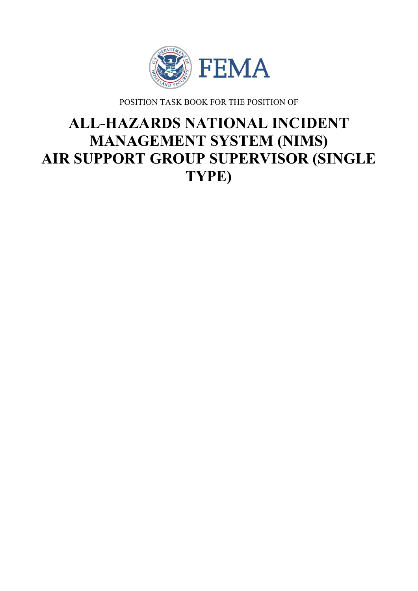

POSITION TASK BOOK FOR THE POSITION OF

# **ALL-HAZARDS NATIONAL INCIDENT MANAGEMENT SYSTEM (NIMS) AIR SUPPORT GROUP SUPERVISOR (SINGLE TYPE)**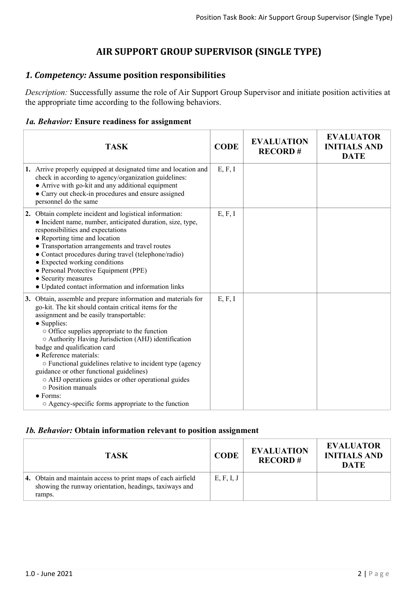# **AIR SUPPORT GROUP SUPERVISOR (SINGLE TYPE)**

## *1. Competency:* **Assume position responsibilities**

*Description:* Successfully assume the role of Air Support Group Supervisor and initiate position activities at the appropriate time according to the following behaviors.

#### *1a. Behavior:* **Ensure readiness for assignment**

| <b>TASK</b>                                                                                                                                                                                                                                                                                                                                                                                                                                                                                                                                                                                                                | <b>CODE</b> | <b>EVALUATION</b><br><b>RECORD#</b> | <b>EVALUATOR</b><br><b>INITIALS AND</b><br><b>DATE</b> |
|----------------------------------------------------------------------------------------------------------------------------------------------------------------------------------------------------------------------------------------------------------------------------------------------------------------------------------------------------------------------------------------------------------------------------------------------------------------------------------------------------------------------------------------------------------------------------------------------------------------------------|-------------|-------------------------------------|--------------------------------------------------------|
| 1. Arrive properly equipped at designated time and location and<br>check in according to agency/organization guidelines:<br>• Arrive with go-kit and any additional equipment<br>• Carry out check-in procedures and ensure assigned<br>personnel do the same                                                                                                                                                                                                                                                                                                                                                              | E, F, I     |                                     |                                                        |
| 2. Obtain complete incident and logistical information:<br>• Incident name, number, anticipated duration, size, type,<br>responsibilities and expectations<br>• Reporting time and location<br>• Transportation arrangements and travel routes<br>• Contact procedures during travel (telephone/radio)<br>• Expected working conditions<br>• Personal Protective Equipment (PPE)<br>• Security measures<br>$\bullet$ Updated contact information and information links                                                                                                                                                     | E, F, I     |                                     |                                                        |
| 3. Obtain, assemble and prepare information and materials for<br>go-kit. The kit should contain critical items for the<br>assignment and be easily transportable:<br>• Supplies:<br>o Office supplies appropriate to the function<br>O Authority Having Jurisdiction (AHJ) identification<br>badge and qualification card<br>• Reference materials:<br>○ Functional guidelines relative to incident type (agency<br>guidance or other functional guidelines)<br>o AHJ operations guides or other operational guides<br>$\circ$ Position manuals<br>$\bullet$ Forms:<br>○ Agency-specific forms appropriate to the function | E, F, I     |                                     |                                                        |

#### *1b. Behavior:* **Obtain information relevant to position assignment**

| <b>TASK</b>                                                                                                                      | <b>CODE</b> | <b>EVALUATION</b><br><b>RECORD#</b> | <b>EVALUATOR</b><br><b>INITIALS AND</b><br><b>DATE</b> |
|----------------------------------------------------------------------------------------------------------------------------------|-------------|-------------------------------------|--------------------------------------------------------|
| 4. Obtain and maintain access to print maps of each airfield<br>showing the runway orientation, headings, taxiways and<br>ramps. | E, F, I, J  |                                     |                                                        |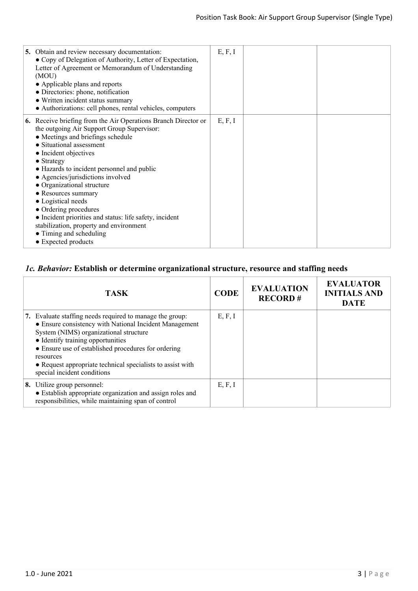| 5. Obtain and review necessary documentation:<br>• Copy of Delegation of Authority, Letter of Expectation,<br>Letter of Agreement or Memorandum of Understanding<br>(MOU)<br>• Applicable plans and reports<br>• Directories: phone, notification<br>• Written incident status summary<br>• Authorizations: cell phones, rental vehicles, computers                                                                                                                                                                                                                                | E, F, I |  |
|------------------------------------------------------------------------------------------------------------------------------------------------------------------------------------------------------------------------------------------------------------------------------------------------------------------------------------------------------------------------------------------------------------------------------------------------------------------------------------------------------------------------------------------------------------------------------------|---------|--|
| <b>6.</b> Receive briefing from the Air Operations Branch Director or<br>the outgoing Air Support Group Supervisor:<br>• Meetings and briefings schedule<br>• Situational assessment<br>• Incident objectives<br>$\bullet$ Strategy<br>• Hazards to incident personnel and public<br>• Agencies/jurisdictions involved<br>• Organizational structure<br>• Resources summary<br>• Logistical needs<br>• Ordering procedures<br>• Incident priorities and status: life safety, incident<br>stabilization, property and environment<br>• Timing and scheduling<br>• Expected products | E, F, I |  |

# *1c. Behavior:* **Establish or determine organizational structure, resource and staffing needs**

| <b>TASK</b>                                                                                                                                                                                                                                                                                                                                                        | <b>CODE</b> | <b>EVALUATION</b><br><b>RECORD#</b> | <b>EVALUATOR</b><br><b>INITIALS AND</b><br><b>DATE</b> |
|--------------------------------------------------------------------------------------------------------------------------------------------------------------------------------------------------------------------------------------------------------------------------------------------------------------------------------------------------------------------|-------------|-------------------------------------|--------------------------------------------------------|
| 7. Evaluate staffing needs required to manage the group:<br>• Ensure consistency with National Incident Management<br>System (NIMS) organizational structure<br>• Identify training opportunities<br>• Ensure use of established procedures for ordering<br>resources<br>• Request appropriate technical specialists to assist with<br>special incident conditions | E, F, I     |                                     |                                                        |
| 8. Utilize group personnel:<br>• Establish appropriate organization and assign roles and<br>responsibilities, while maintaining span of control                                                                                                                                                                                                                    | E, F, I     |                                     |                                                        |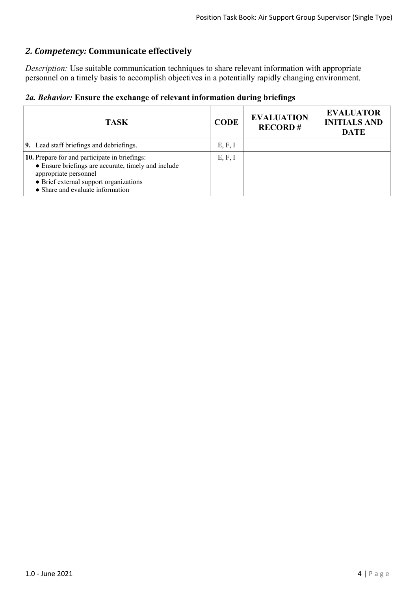# *2. Competency:* **Communicate effectively**

*Description:* Use suitable communication techniques to share relevant information with appropriate personnel on a timely basis to accomplish objectives in a potentially rapidly changing environment.

|  |  |  |  |  | 2a. Behavior: Ensure the exchange of relevant information during briefings |  |  |
|--|--|--|--|--|----------------------------------------------------------------------------|--|--|
|--|--|--|--|--|----------------------------------------------------------------------------|--|--|

| <b>TASK</b>                                                                                                                                                                                                 | <b>CODE</b> | <b>EVALUATION</b><br><b>RECORD#</b> | <b>EVALUATOR</b><br><b>INITIALS AND</b><br><b>DATE</b> |
|-------------------------------------------------------------------------------------------------------------------------------------------------------------------------------------------------------------|-------------|-------------------------------------|--------------------------------------------------------|
| 9. Lead staff briefings and debriefings.                                                                                                                                                                    | E, F, I     |                                     |                                                        |
| 10. Prepare for and participate in briefings:<br>• Ensure briefings are accurate, timely and include<br>appropriate personnel<br>• Brief external support organizations<br>• Share and evaluate information | E, F, I     |                                     |                                                        |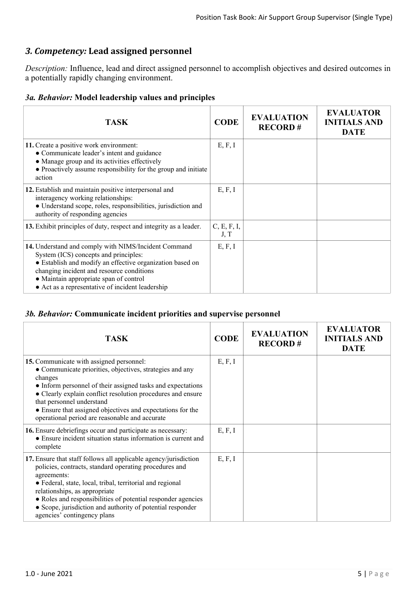# *3. Competency:* **Lead assigned personnel**

*Description:* Influence, lead and direct assigned personnel to accomplish objectives and desired outcomes in a potentially rapidly changing environment.

|  |  |  |  |  | 3a. Behavior: Model leadership values and principles |
|--|--|--|--|--|------------------------------------------------------|
|--|--|--|--|--|------------------------------------------------------|

| <b>TASK</b>                                                                                                                                                                                                                                                                                           | <b>CODE</b>         | <b>EVALUATION</b><br><b>RECORD#</b> | <b>EVALUATOR</b><br><b>INITIALS AND</b><br><b>DATE</b> |
|-------------------------------------------------------------------------------------------------------------------------------------------------------------------------------------------------------------------------------------------------------------------------------------------------------|---------------------|-------------------------------------|--------------------------------------------------------|
| 11. Create a positive work environment:<br>• Communicate leader's intent and guidance<br>• Manage group and its activities effectively<br>• Proactively assume responsibility for the group and initiate<br>action                                                                                    | E, F, I             |                                     |                                                        |
| 12. Establish and maintain positive interpersonal and<br>interagency working relationships:<br>· Understand scope, roles, responsibilities, jurisdiction and<br>authority of responding agencies                                                                                                      | E, F, I             |                                     |                                                        |
| 13. Exhibit principles of duty, respect and integrity as a leader.                                                                                                                                                                                                                                    | C, E, F, I,<br>J, T |                                     |                                                        |
| 14. Understand and comply with NIMS/Incident Command<br>System (ICS) concepts and principles:<br>• Establish and modify an effective organization based on<br>changing incident and resource conditions<br>• Maintain appropriate span of control<br>• Act as a representative of incident leadership | E, F, I             |                                     |                                                        |

#### *3b. Behavior:* **Communicate incident priorities and supervise personnel**

| <b>TASK</b>                                                                                                                                                                                                                                                                                                                                                                                          | <b>CODE</b> | <b>EVALUATION</b><br><b>RECORD#</b> | <b>EVALUATOR</b><br><b>INITIALS AND</b><br><b>DATE</b> |
|------------------------------------------------------------------------------------------------------------------------------------------------------------------------------------------------------------------------------------------------------------------------------------------------------------------------------------------------------------------------------------------------------|-------------|-------------------------------------|--------------------------------------------------------|
| 15. Communicate with assigned personnel:<br>• Communicate priorities, objectives, strategies and any<br>changes<br>• Inform personnel of their assigned tasks and expectations<br>• Clearly explain conflict resolution procedures and ensure<br>that personnel understand<br>• Ensure that assigned objectives and expectations for the<br>operational period are reasonable and accurate           | E, F, I     |                                     |                                                        |
| 16. Ensure debriefings occur and participate as necessary:<br>• Ensure incident situation status information is current and<br>complete                                                                                                                                                                                                                                                              | E, F, I     |                                     |                                                        |
| 17. Ensure that staff follows all applicable agency/jurisdiction<br>policies, contracts, standard operating procedures and<br>agreements:<br>• Federal, state, local, tribal, territorial and regional<br>relationships, as appropriate<br>• Roles and responsibilities of potential responder agencies<br>• Scope, jurisdiction and authority of potential responder<br>agencies' contingency plans | E, F, I     |                                     |                                                        |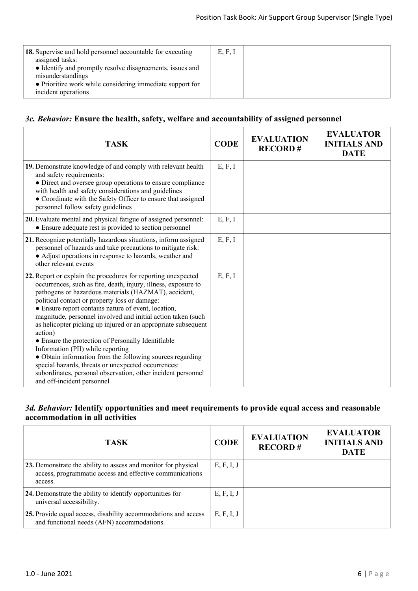| 18. Supervise and hold personnel accountable for executing<br>assigned tasks:<br>• Identify and promptly resolve disagreements, issues and<br>misunderstandings<br>• Prioritize work while considering immediate support for<br>incident operations | E, F, I |  |
|-----------------------------------------------------------------------------------------------------------------------------------------------------------------------------------------------------------------------------------------------------|---------|--|
|                                                                                                                                                                                                                                                     |         |  |

## *3c. Behavior:* **Ensure the health, safety, welfare and accountability of assigned personnel**

| <b>TASK</b>                                                                                                                                                                                                                                                                                                                                                                                                                                                                                                                                                                                                                                                                                                                                              | <b>CODE</b> | <b>EVALUATION</b><br><b>RECORD#</b> | <b>EVALUATOR</b><br><b>INITIALS AND</b><br><b>DATE</b> |
|----------------------------------------------------------------------------------------------------------------------------------------------------------------------------------------------------------------------------------------------------------------------------------------------------------------------------------------------------------------------------------------------------------------------------------------------------------------------------------------------------------------------------------------------------------------------------------------------------------------------------------------------------------------------------------------------------------------------------------------------------------|-------------|-------------------------------------|--------------------------------------------------------|
| 19. Demonstrate knowledge of and comply with relevant health<br>and safety requirements:<br>• Direct and oversee group operations to ensure compliance<br>with health and safety considerations and guidelines<br>• Coordinate with the Safety Officer to ensure that assigned<br>personnel follow safety guidelines                                                                                                                                                                                                                                                                                                                                                                                                                                     | E, F, I     |                                     |                                                        |
| 20. Evaluate mental and physical fatigue of assigned personnel:<br>• Ensure adequate rest is provided to section personnel                                                                                                                                                                                                                                                                                                                                                                                                                                                                                                                                                                                                                               | E, F, I     |                                     |                                                        |
| 21. Recognize potentially hazardous situations, inform assigned<br>personnel of hazards and take precautions to mitigate risk:<br>• Adjust operations in response to hazards, weather and<br>other relevant events                                                                                                                                                                                                                                                                                                                                                                                                                                                                                                                                       | E, F, I     |                                     |                                                        |
| 22. Report or explain the procedures for reporting unexpected<br>occurrences, such as fire, death, injury, illness, exposure to<br>pathogens or hazardous materials (HAZMAT), accident,<br>political contact or property loss or damage:<br>• Ensure report contains nature of event, location,<br>magnitude, personnel involved and initial action taken (such<br>as helicopter picking up injured or an appropriate subsequent<br>action)<br>• Ensure the protection of Personally Identifiable<br>Information (PII) while reporting<br>• Obtain information from the following sources regarding<br>special hazards, threats or unexpected occurrences:<br>subordinates, personal observation, other incident personnel<br>and off-incident personnel | E, F, I     |                                     |                                                        |

## *3d. Behavior:* **Identify opportunities and meet requirements to provide equal access and reasonable accommodation in all activities**

| <b>TASK</b>                                                                                                                           | <b>CODE</b> | <b>EVALUATION</b><br><b>RECORD#</b> | <b>EVALUATOR</b><br><b>INITIALS AND</b><br><b>DATE</b> |
|---------------------------------------------------------------------------------------------------------------------------------------|-------------|-------------------------------------|--------------------------------------------------------|
| 23. Demonstrate the ability to assess and monitor for physical<br>access, programmatic access and effective communications<br>access. | E, F, I, J  |                                     |                                                        |
| 24. Demonstrate the ability to identify opportunities for<br>universal accessibility.                                                 | E, F, I, J  |                                     |                                                        |
| 25. Provide equal access, disability accommodations and access<br>and functional needs (AFN) accommodations.                          | E, F, I, J  |                                     |                                                        |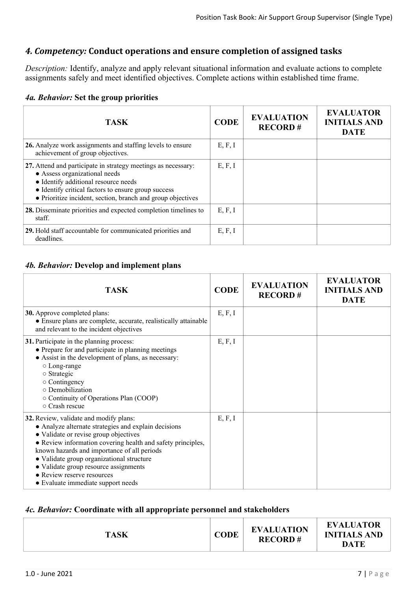## *4. Competency:* **Conduct operations and ensure completion of assigned tasks**

*Description:* Identify, analyze and apply relevant situational information and evaluate actions to complete assignments safely and meet identified objectives. Complete actions within established time frame.

#### *4a. Behavior:* **Set the group priorities**

| <b>TASK</b>                                                                                                                                                                                                                                                  | <b>CODE</b> | <b>EVALUATION</b><br><b>RECORD#</b> | <b>EVALUATOR</b><br><b>INITIALS AND</b><br><b>DATE</b> |
|--------------------------------------------------------------------------------------------------------------------------------------------------------------------------------------------------------------------------------------------------------------|-------------|-------------------------------------|--------------------------------------------------------|
| 26. Analyze work assignments and staffing levels to ensure<br>achievement of group objectives.                                                                                                                                                               | E, F, I     |                                     |                                                        |
| 27. Attend and participate in strategy meetings as necessary:<br>• Assess organizational needs<br>• Identify additional resource needs<br>• Identify critical factors to ensure group success<br>• Prioritize incident, section, branch and group objectives | E, F, I     |                                     |                                                        |
| 28. Disseminate priorities and expected completion timelines to<br>staff.                                                                                                                                                                                    | E, F, I     |                                     |                                                        |
| 29. Hold staff accountable for communicated priorities and<br>deadlines.                                                                                                                                                                                     | E, F, I     |                                     |                                                        |

#### *4b. Behavior:* **Develop and implement plans**

| <b>TASK</b>                                                                                                                                                                                                                                                                                                                                                                                                     | <b>CODE</b> | <b>EVALUATION</b><br><b>RECORD#</b> | <b>EVALUATOR</b><br><b>INITIALS AND</b><br><b>DATE</b> |
|-----------------------------------------------------------------------------------------------------------------------------------------------------------------------------------------------------------------------------------------------------------------------------------------------------------------------------------------------------------------------------------------------------------------|-------------|-------------------------------------|--------------------------------------------------------|
| <b>30.</b> Approve completed plans:<br>• Ensure plans are complete, accurate, realistically attainable<br>and relevant to the incident objectives                                                                                                                                                                                                                                                               | E, F, I     |                                     |                                                        |
| 31. Participate in the planning process:<br>• Prepare for and participate in planning meetings<br>• Assist in the development of plans, as necessary:<br>○ Long-range<br>o Strategic<br>$\circ$ Contingency<br>o Demobilization<br>○ Continuity of Operations Plan (COOP)<br>○ Crash rescue                                                                                                                     | E, F, I     |                                     |                                                        |
| 32. Review, validate and modify plans:<br>• Analyze alternate strategies and explain decisions<br>• Validate or revise group objectives<br>• Review information covering health and safety principles,<br>known hazards and importance of all periods<br>• Validate group organizational structure<br>• Validate group resource assignments<br>• Review reserve resources<br>• Evaluate immediate support needs | E, F, I     |                                     |                                                        |

#### *4c. Behavior:* **Coordinate with all appropriate personnel and stakeholders**

| <b>TASK</b> | CODE | <b>EVALUATION</b><br><b>RECORD#</b> | <b>EVALUATOR</b><br><b>INITIALS AND</b><br>DATE |
|-------------|------|-------------------------------------|-------------------------------------------------|
|-------------|------|-------------------------------------|-------------------------------------------------|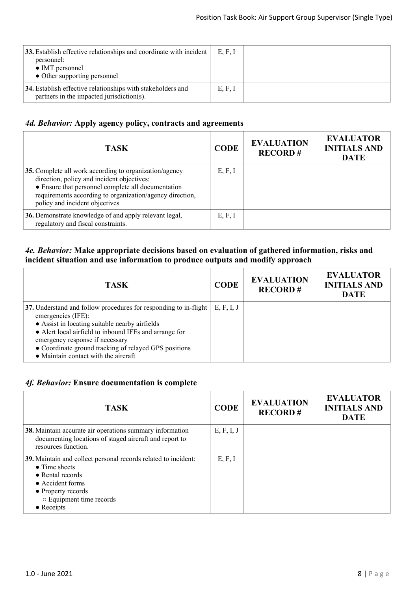| 33. Establish effective relationships and coordinate with incident<br>personnel:<br>• IMT personnel<br>• Other supporting personnel | E, F, I |  |
|-------------------------------------------------------------------------------------------------------------------------------------|---------|--|
| 34. Establish effective relationships with stakeholders and<br>partners in the impacted jurisdiction(s).                            | E, F, I |  |

## *4d. Behavior:* **Apply agency policy, contracts and agreements**

| <b>TASK</b>                                                                                                                                                                                                                                              | <b>CODE</b> | <b>EVALUATION</b><br><b>RECORD#</b> | <b>EVALUATOR</b><br><b>INITIALS AND</b><br><b>DATE</b> |
|----------------------------------------------------------------------------------------------------------------------------------------------------------------------------------------------------------------------------------------------------------|-------------|-------------------------------------|--------------------------------------------------------|
| 35. Complete all work according to organization/agency<br>direction, policy and incident objectives:<br>• Ensure that personnel complete all documentation<br>requirements according to organization/agency direction,<br>policy and incident objectives | E, F, I     |                                     |                                                        |
| 36. Demonstrate knowledge of and apply relevant legal,<br>regulatory and fiscal constraints.                                                                                                                                                             | E, F, I     |                                     |                                                        |

#### *4e. Behavior:* **Make appropriate decisions based on evaluation of gathered information, risks and incident situation and use information to produce outputs and modify approach**

| <b>TASK</b>                                                                                                                                                                                                                                                                                                                                    | <b>CODE</b> | <b>EVALUATION</b><br><b>RECORD#</b> | <b>EVALUATOR</b><br><b>INITIALS AND</b><br><b>DATE</b> |
|------------------------------------------------------------------------------------------------------------------------------------------------------------------------------------------------------------------------------------------------------------------------------------------------------------------------------------------------|-------------|-------------------------------------|--------------------------------------------------------|
| 37. Understand and follow procedures for responding to in-flight<br>emergencies (IFE):<br>• Assist in locating suitable nearby airfields<br>• Alert local airfield to inbound IFEs and arrange for<br>emergency response if necessary<br>• Coordinate ground tracking of relayed GPS positions<br>$\bullet$ Maintain contact with the aircraft | E, F, I, J  |                                     |                                                        |

## *4f. Behavior:* **Ensure documentation is complete**

| <b>TASK</b>                                                                                                                                                                                                     | <b>CODE</b> | <b>EVALUATION</b><br><b>RECORD#</b> | <b>EVALUATOR</b><br><b>INITIALS AND</b><br><b>DATE</b> |
|-----------------------------------------------------------------------------------------------------------------------------------------------------------------------------------------------------------------|-------------|-------------------------------------|--------------------------------------------------------|
| 38. Maintain accurate air operations summary information<br>documenting locations of staged aircraft and report to<br>resources function.                                                                       | E, F, I, J  |                                     |                                                        |
| 39. Maintain and collect personal records related to incident:<br>$\bullet$ Time sheets<br>$\bullet$ Rental records<br>• Accident forms<br>• Property records<br>○ Equipment time records<br>$\bullet$ Receipts | E, F, I     |                                     |                                                        |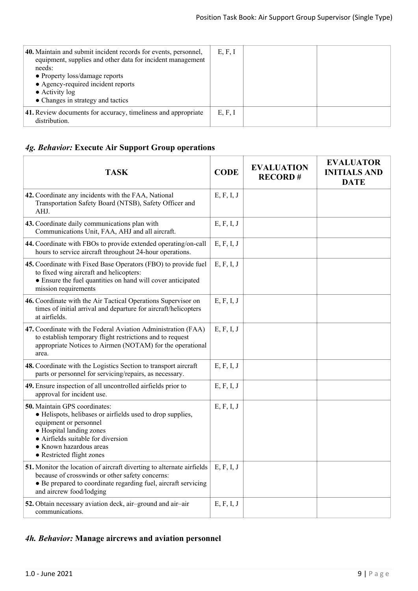| 40. Maintain and submit incident records for events, personnel,<br>equipment, supplies and other data for incident management<br>needs:<br>• Property loss/damage reports<br>• Agency-required incident reports<br>$\bullet$ Activity log<br>• Changes in strategy and tactics | E, F, I |  |
|--------------------------------------------------------------------------------------------------------------------------------------------------------------------------------------------------------------------------------------------------------------------------------|---------|--|
| 41. Review documents for accuracy, timeliness and appropriate<br>distribution.                                                                                                                                                                                                 | E, F, I |  |

# *4g. Behavior:* **Execute Air Support Group operations**

| <b>TASK</b>                                                                                                                                                                                                                                     | <b>CODE</b> | <b>EVALUATION</b><br><b>RECORD#</b> | <b>EVALUATOR</b><br><b>INITIALS AND</b><br><b>DATE</b> |
|-------------------------------------------------------------------------------------------------------------------------------------------------------------------------------------------------------------------------------------------------|-------------|-------------------------------------|--------------------------------------------------------|
| 42. Coordinate any incidents with the FAA, National<br>Transportation Safety Board (NTSB), Safety Officer and<br>AHJ.                                                                                                                           | E, F, I, J  |                                     |                                                        |
| 43. Coordinate daily communications plan with<br>Communications Unit, FAA, AHJ and all aircraft.                                                                                                                                                | E, F, I, J  |                                     |                                                        |
| 44. Coordinate with FBOs to provide extended operating/on-call<br>hours to service aircraft throughout 24-hour operations.                                                                                                                      | E, F, I, J  |                                     |                                                        |
| 45. Coordinate with Fixed Base Operators (FBO) to provide fuel<br>to fixed wing aircraft and helicopters:<br>• Ensure the fuel quantities on hand will cover anticipated<br>mission requirements                                                | E, F, I, J  |                                     |                                                        |
| 46. Coordinate with the Air Tactical Operations Supervisor on<br>times of initial arrival and departure for aircraft/helicopters<br>at airfields.                                                                                               | E, F, I, J  |                                     |                                                        |
| 47. Coordinate with the Federal Aviation Administration (FAA)<br>to establish temporary flight restrictions and to request<br>appropriate Notices to Airmen (NOTAM) for the operational<br>area.                                                | E, F, I, J  |                                     |                                                        |
| 48. Coordinate with the Logistics Section to transport aircraft<br>parts or personnel for servicing/repairs, as necessary.                                                                                                                      | E, F, I, J  |                                     |                                                        |
| 49. Ensure inspection of all uncontrolled airfields prior to<br>approval for incident use.                                                                                                                                                      | E, F, I, J  |                                     |                                                        |
| 50. Maintain GPS coordinates:<br>• Helispots, helibases or airfields used to drop supplies,<br>equipment or personnel<br>• Hospital landing zones<br>• Airfields suitable for diversion<br>• Known hazardous areas<br>• Restricted flight zones | E, F, I, J  |                                     |                                                        |
| 51. Monitor the location of aircraft diverting to alternate airfields<br>because of crosswinds or other safety concerns:<br>• Be prepared to coordinate regarding fuel, aircraft servicing<br>and aircrew food/lodging                          | E, F, I, J  |                                     |                                                        |
| 52. Obtain necessary aviation deck, air-ground and air-air<br>communications.                                                                                                                                                                   | E, F, I, J  |                                     |                                                        |

# *4h. Behavior:* **Manage aircrews and aviation personnel**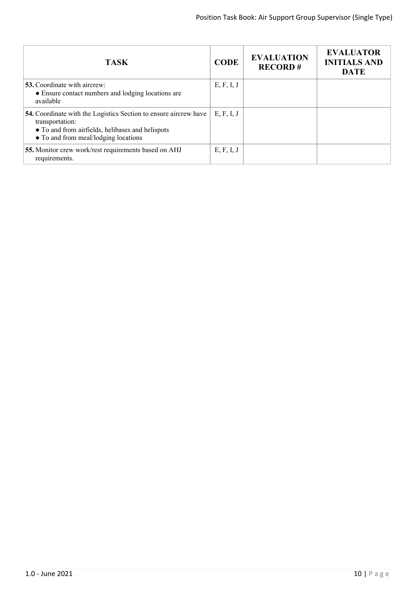| <b>TASK</b>                                                                                                                                                                     | <b>CODE</b> | <b>EVALUATION</b><br><b>RECORD#</b> | <b>EVALUATOR</b><br><b>INITIALS AND</b><br><b>DATE</b> |
|---------------------------------------------------------------------------------------------------------------------------------------------------------------------------------|-------------|-------------------------------------|--------------------------------------------------------|
| <b>53.</b> Coordinate with aircrew:<br>• Ensure contact numbers and lodging locations are<br>available                                                                          | E, F, I, J  |                                     |                                                        |
| 54. Coordinate with the Logistics Section to ensure aircrew have<br>transportation:<br>• To and from airfields, helibases and helispots<br>• To and from meal/lodging locations | E, F, I, J  |                                     |                                                        |
| 55. Monitor crew work/rest requirements based on AHJ<br>requirements.                                                                                                           | E, F, I, J  |                                     |                                                        |